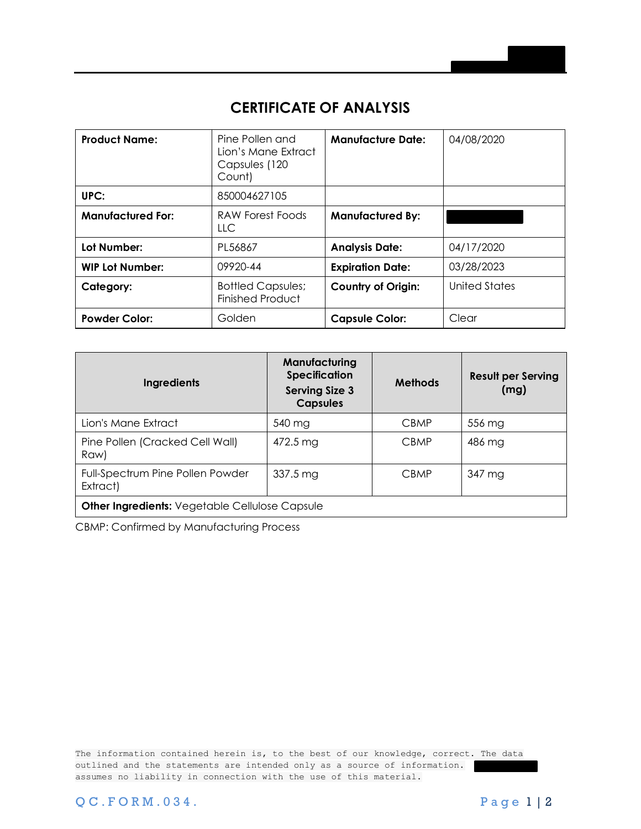## **CERTIFICATE OF ANALYSIS**

| <b>Product Name:</b>     | Pine Pollen and<br>Lion's Mane Extract<br>Capsules (120<br>Count) | <b>Manufacture Date:</b>  | 04/08/2020    |
|--------------------------|-------------------------------------------------------------------|---------------------------|---------------|
| UPC:                     | 850004627105                                                      |                           |               |
| <b>Manufactured For:</b> | <b>RAW Forest Foods</b><br><b>LLC</b>                             | <b>Manufactured By:</b>   |               |
| Lot Number:              | PL56867                                                           | <b>Analysis Date:</b>     | 04/17/2020    |
| <b>WIP Lot Number:</b>   | 09920-44                                                          | <b>Expiration Date:</b>   | 03/28/2023    |
| Category:                | <b>Bottled Capsules;</b><br><b>Finished Product</b>               | <b>Country of Origin:</b> | United States |
| <b>Powder Color:</b>     | Golden                                                            | <b>Capsule Color:</b>     | Clear         |

| <b>Ingredients</b>                                    | Manufacturing<br><b>Specification</b><br><b>Serving Size 3</b><br><b>Capsules</b> | <b>Methods</b> | <b>Result per Serving</b><br>(mg) |  |  |
|-------------------------------------------------------|-----------------------------------------------------------------------------------|----------------|-----------------------------------|--|--|
| Lion's Mane Extract                                   | 540 mg                                                                            | <b>CBMP</b>    | 556 mg                            |  |  |
| Pine Pollen (Cracked Cell Wall)<br>Raw)               | 472.5 mg                                                                          | <b>CBMP</b>    | 486 mg                            |  |  |
| Full-Spectrum Pine Pollen Powder<br>Extract)          | <b>CBMP</b><br>$337.5 \,\mathrm{mg}$                                              |                | 347 mg                            |  |  |
| <b>Other Ingredients: Vegetable Cellulose Capsule</b> |                                                                                   |                |                                   |  |  |

CBMP: Confirmed by Manufacturing Process

The information contained herein is, to the best of our knowledge, correct. The data outlined and the statements are intended only as a source of information. assumes no liability in connection with the use of this material.